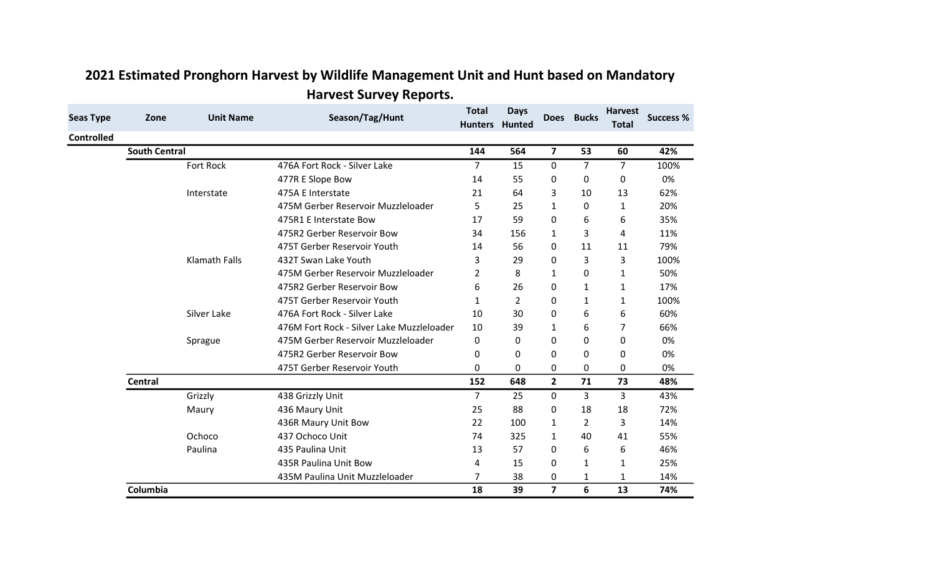| <b>Seas Type</b>  | Zone                 | <b>Unit Name</b>     | Season/Tag/Hunt                           | <b>Total</b><br><b>Hunters</b> | <b>Days</b><br>Hunted | <b>Does</b>             | <b>Bucks</b>   | <b>Harvest</b><br><b>Total</b> | <b>Success %</b> |
|-------------------|----------------------|----------------------|-------------------------------------------|--------------------------------|-----------------------|-------------------------|----------------|--------------------------------|------------------|
| <b>Controlled</b> |                      |                      |                                           |                                |                       |                         |                |                                |                  |
|                   | <b>South Central</b> |                      |                                           | 144                            | 564                   | $\overline{\mathbf{z}}$ | 53             | 60                             | 42%              |
|                   |                      | <b>Fort Rock</b>     | 476A Fort Rock - Silver Lake              | $\overline{7}$                 | 15                    | 0                       | $\overline{7}$ | $\overline{7}$                 | 100%             |
|                   |                      |                      | 477R E Slope Bow                          | 14                             | 55                    | 0                       | 0              | 0                              | 0%               |
|                   |                      | Interstate           | 475A E Interstate                         | 21                             | 64                    | 3                       | 10             | 13                             | 62%              |
|                   |                      |                      | 475M Gerber Reservoir Muzzleloader        | 5                              | 25                    | $\mathbf{1}$            | 0              | $\mathbf{1}$                   | 20%              |
|                   |                      |                      | 475R1 E Interstate Bow                    | 17                             | 59                    | 0                       | 6              | 6                              | 35%              |
|                   |                      |                      | 475R2 Gerber Reservoir Bow                | 34                             | 156                   | $\mathbf{1}$            | 3              | 4                              | 11%              |
|                   |                      |                      | 475T Gerber Reservoir Youth               | 14                             | 56                    | 0                       | 11             | 11                             | 79%              |
|                   |                      | <b>Klamath Falls</b> | 432T Swan Lake Youth                      | 3                              | 29                    | 0                       | 3              | 3                              | 100%             |
|                   |                      |                      | 475M Gerber Reservoir Muzzleloader        | $\overline{2}$                 | 8                     | $\mathbf{1}$            | 0              | 1                              | 50%              |
|                   |                      |                      | 475R2 Gerber Reservoir Bow                | 6                              | 26                    | 0                       | 1              | 1                              | 17%              |
|                   |                      |                      | 475T Gerber Reservoir Youth               | 1                              | 2                     | 0                       | $\mathbf{1}$   | 1                              | 100%             |
|                   |                      | Silver Lake          | 476A Fort Rock - Silver Lake              | 10                             | 30                    | 0                       | 6              | 6                              | 60%              |
|                   |                      |                      | 476M Fort Rock - Silver Lake Muzzleloader | 10                             | 39                    | $\mathbf{1}$            | 6              | 7                              | 66%              |
|                   |                      | Sprague              | 475M Gerber Reservoir Muzzleloader        | 0                              | 0                     | 0                       | 0              | 0                              | 0%               |
|                   |                      |                      | 475R2 Gerber Reservoir Bow                | 0                              | 0                     | 0                       | 0              | 0                              | 0%               |
|                   |                      |                      | 475T Gerber Reservoir Youth               | 0                              | 0                     | 0                       | 0              | 0                              | 0%               |
|                   | <b>Central</b>       |                      |                                           | 152                            | 648                   | $\overline{2}$          | 71             | 73                             | 48%              |
|                   |                      | Grizzly              | 438 Grizzly Unit                          | $\overline{7}$                 | 25                    | 0                       | 3              | 3                              | 43%              |
|                   |                      | Maury                | 436 Maury Unit                            | 25                             | 88                    | 0                       | 18             | 18                             | 72%              |
|                   |                      |                      | 436R Maury Unit Bow                       | 22                             | 100                   | 1                       | $\overline{2}$ | 3                              | 14%              |
|                   |                      | Ochoco               | 437 Ochoco Unit                           | 74                             | 325                   | $\mathbf{1}$            | 40             | 41                             | 55%              |
|                   |                      | Paulina              | 435 Paulina Unit                          | 13                             | 57                    | 0                       | 6              | 6                              | 46%              |
|                   |                      |                      | 435R Paulina Unit Bow                     | 4                              | 15                    | 0                       | 1              | $\mathbf{1}$                   | 25%              |
|                   |                      |                      | 435M Paulina Unit Muzzleloader            | $\overline{7}$                 | 38                    | 0                       | $\mathbf{1}$   | $\mathbf{1}$                   | 14%              |
|                   | Columbia             |                      |                                           | 18                             | 39                    | $\overline{7}$          | 6              | 13                             | 74%              |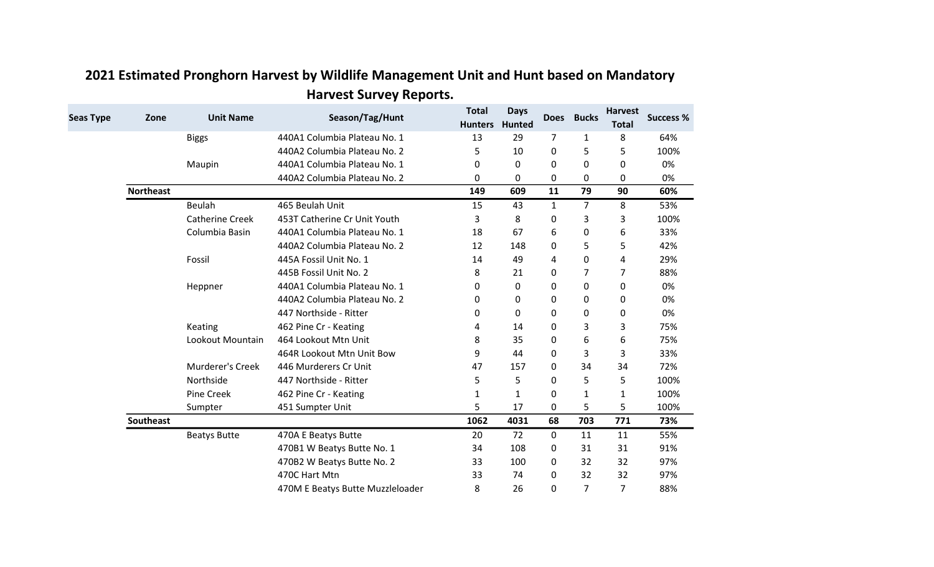| <b>Seas Type</b> | Zone             | <b>Unit Name</b>       | Season/Tag/Hunt                  | <b>Total</b><br><b>Hunters</b> | <b>Days</b><br><b>Hunted</b> | <b>Does</b>    | <b>Bucks</b>   | <b>Harvest</b><br><b>Total</b> | <b>Success %</b> |
|------------------|------------------|------------------------|----------------------------------|--------------------------------|------------------------------|----------------|----------------|--------------------------------|------------------|
|                  |                  | <b>Biggs</b>           | 440A1 Columbia Plateau No. 1     | 13                             | 29                           | $\overline{7}$ | 1              | 8                              | 64%              |
|                  |                  |                        | 440A2 Columbia Plateau No. 2     | 5                              | 10                           | 0              | 5              | 5                              | 100%             |
|                  |                  | Maupin                 | 440A1 Columbia Plateau No. 1     | 0                              | 0                            | 0              | 0              | 0                              | 0%               |
|                  |                  |                        | 440A2 Columbia Plateau No. 2     | 0                              | 0                            | 0              | 0              | 0                              | 0%               |
|                  | <b>Northeast</b> |                        |                                  | 149                            | 609                          | 11             | 79             | 90                             | 60%              |
|                  |                  | Beulah                 | 465 Beulah Unit                  | 15                             | 43                           | $\mathbf{1}$   | 7              | 8                              | 53%              |
|                  |                  | <b>Catherine Creek</b> | 453T Catherine Cr Unit Youth     | 3                              | 8                            | 0              | 3              | 3                              | 100%             |
|                  |                  | Columbia Basin         | 440A1 Columbia Plateau No. 1     | 18                             | 67                           | 6              | 0              | 6                              | 33%              |
|                  |                  |                        | 440A2 Columbia Plateau No. 2     | 12                             | 148                          | 0              | 5              | 5                              | 42%              |
|                  |                  | Fossil                 | 445A Fossil Unit No. 1           | 14                             | 49                           | 4              | 0              | 4                              | 29%              |
|                  |                  |                        | 445B Fossil Unit No. 2           | 8                              | 21                           | 0              | 7              | 7                              | 88%              |
|                  |                  | Heppner                | 440A1 Columbia Plateau No. 1     | 0                              | 0                            | 0              | 0              | 0                              | 0%               |
|                  |                  |                        | 440A2 Columbia Plateau No. 2     | 0                              | 0                            | 0              | 0              | 0                              | 0%               |
|                  |                  |                        | 447 Northside - Ritter           | 0                              | 0                            | 0              | 0              | 0                              | 0%               |
|                  |                  | Keating                | 462 Pine Cr - Keating            | 4                              | 14                           | 0              | 3              | 3                              | 75%              |
|                  |                  | Lookout Mountain       | 464 Lookout Mtn Unit             | 8                              | 35                           | 0              | 6              | 6                              | 75%              |
|                  |                  |                        | 464R Lookout Mtn Unit Bow        | 9                              | 44                           | 0              | 3              | 3                              | 33%              |
|                  |                  | Murderer's Creek       | 446 Murderers Cr Unit            | 47                             | 157                          | 0              | 34             | 34                             | 72%              |
|                  |                  | Northside              | 447 Northside - Ritter           | 5                              | 5                            | 0              | 5              | 5                              | 100%             |
|                  |                  | <b>Pine Creek</b>      | 462 Pine Cr - Keating            | 1                              | 1                            | 0              | 1              | 1                              | 100%             |
|                  |                  | Sumpter                | 451 Sumpter Unit                 | 5                              | 17                           | 0              | 5              | 5                              | 100%             |
|                  | Southeast        |                        |                                  | 1062                           | 4031                         | 68             | 703            | 771                            | 73%              |
|                  |                  | <b>Beatys Butte</b>    | 470A E Beatys Butte              | 20                             | 72                           | 0              | 11             | 11                             | 55%              |
|                  |                  |                        | 470B1 W Beatys Butte No. 1       | 34                             | 108                          | 0              | 31             | 31                             | 91%              |
|                  |                  |                        | 470B2 W Beatys Butte No. 2       | 33                             | 100                          | 0              | 32             | 32                             | 97%              |
|                  |                  |                        | 470C Hart Mtn                    | 33                             | 74                           | 0              | 32             | 32                             | 97%              |
|                  |                  |                        | 470M E Beatys Butte Muzzleloader | 8                              | 26                           | 0              | $\overline{7}$ | $\overline{7}$                 | 88%              |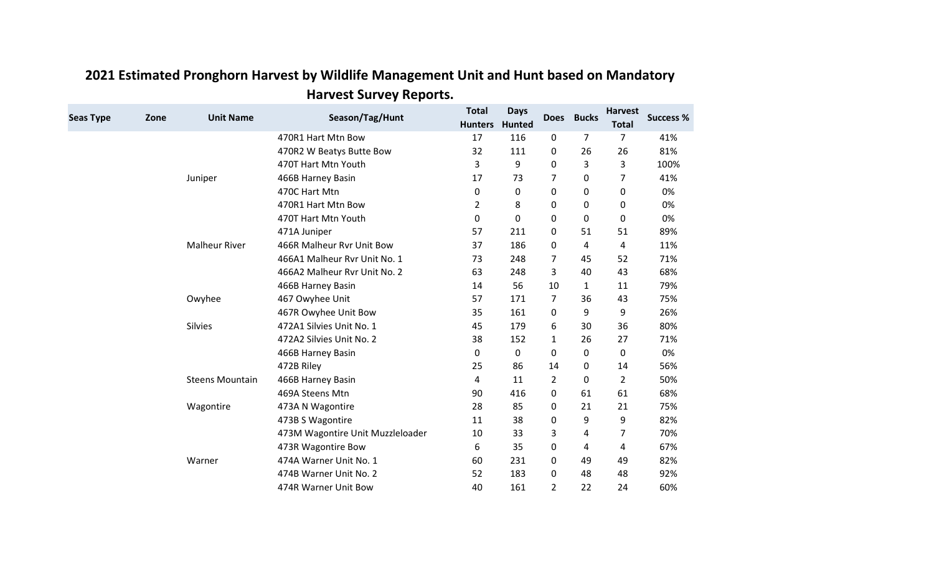| <b>Seas Type</b> | Zone | <b>Unit Name</b>       | Season/Tag/Hunt                  | <b>Total</b><br><b>Hunters</b> | <b>Days</b><br>Hunted | <b>Does</b>    | <b>Bucks</b> | <b>Harvest</b><br><b>Total</b> | <b>Success %</b> |
|------------------|------|------------------------|----------------------------------|--------------------------------|-----------------------|----------------|--------------|--------------------------------|------------------|
|                  |      |                        | 470R1 Hart Mtn Bow               | 17                             | 116                   | 0              | 7            | 7                              | 41%              |
|                  |      |                        | 470R2 W Beatys Butte Bow         | 32                             | 111                   | 0              | 26           | 26                             | 81%              |
|                  |      |                        | 470T Hart Mtn Youth              | 3                              | 9                     | $\Omega$       | 3            | 3                              | 100%             |
|                  |      | Juniper                | 466B Harney Basin                | 17                             | 73                    | $\overline{7}$ | 0            | 7                              | 41%              |
|                  |      |                        | 470C Hart Mtn                    | 0                              | 0                     | 0              | 0            | 0                              | 0%               |
|                  |      |                        | 470R1 Hart Mtn Bow               | 2                              | 8                     | 0              | 0            | 0                              | 0%               |
|                  |      |                        | 470T Hart Mtn Youth              | 0                              | 0                     | 0              | 0            | 0                              | 0%               |
|                  |      |                        | 471A Juniper                     | 57                             | 211                   | 0              | 51           | 51                             | 89%              |
|                  |      | <b>Malheur River</b>   | 466R Malheur Ryr Unit Bow        | 37                             | 186                   | 0              | 4            | 4                              | 11%              |
|                  |      |                        | 466A1 Malheur Rvr Unit No. 1     | 73                             | 248                   | $\overline{7}$ | 45           | 52                             | 71%              |
|                  |      |                        | 466A2 Malheur Rvr Unit No. 2     | 63                             | 248                   | 3              | 40           | 43                             | 68%              |
|                  |      |                        | 466B Harney Basin                | 14                             | 56                    | 10             | $\mathbf{1}$ | 11                             | 79%              |
|                  |      | Owyhee                 | 467 Owyhee Unit                  | 57                             | 171                   | 7              | 36           | 43                             | 75%              |
|                  |      |                        | 467R Owyhee Unit Bow             | 35                             | 161                   | $\mathbf{0}$   | 9            | 9                              | 26%              |
|                  |      | Silvies                | 472A1 Silvies Unit No. 1         | 45                             | 179                   | 6              | 30           | 36                             | 80%              |
|                  |      |                        | 472A2 Silvies Unit No. 2         | 38                             | 152                   | $\mathbf{1}$   | 26           | 27                             | 71%              |
|                  |      |                        | 466B Harney Basin                | 0                              | 0                     | 0              | 0            | 0                              | 0%               |
|                  |      |                        | 472B Riley                       | 25                             | 86                    | 14             | 0            | 14                             | 56%              |
|                  |      | <b>Steens Mountain</b> | 466B Harney Basin                | 4                              | 11                    | 2              | 0            | $\overline{2}$                 | 50%              |
|                  |      |                        | 469A Steens Mtn                  | 90                             | 416                   | 0              | 61           | 61                             | 68%              |
|                  |      | Wagontire              | 473A N Wagontire                 | 28                             | 85                    | $\Omega$       | 21           | 21                             | 75%              |
|                  |      |                        | 473B S Wagontire                 | 11                             | 38                    | $\mathbf 0$    | 9            | 9                              | 82%              |
|                  |      |                        | 473M Wagontire Unit Muzzleloader | 10                             | 33                    | 3              | 4            | 7                              | 70%              |
|                  |      |                        | 473R Wagontire Bow               | 6                              | 35                    | $\Omega$       | 4            | 4                              | 67%              |
|                  |      | Warner                 | 474A Warner Unit No. 1           | 60                             | 231                   | 0              | 49           | 49                             | 82%              |
|                  |      |                        | 474B Warner Unit No. 2           | 52                             | 183                   | 0              | 48           | 48                             | 92%              |
|                  |      |                        | 474R Warner Unit Bow             | 40                             | 161                   | $\overline{2}$ | 22           | 24                             | 60%              |